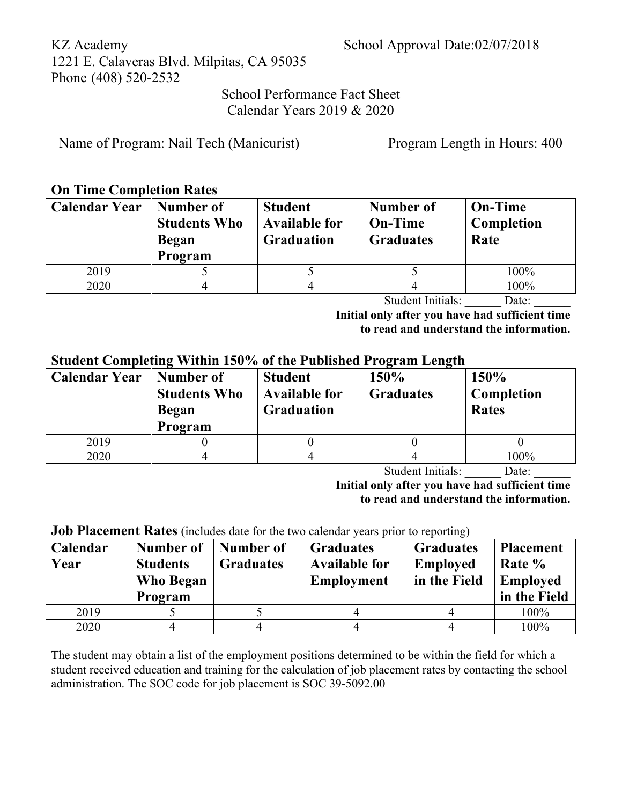School Performance Fact Sheet Calendar Years 2019 & 2020

Name of Program: Nail Tech (Manicurist) Program Length in Hours: 400

### **On Time Completion Rates**

| <b>Calendar Year</b> | Number of<br><b>Students Who</b><br>Began<br>Program | <b>Student</b><br><b>Available for</b><br><b>Graduation</b> | Number of<br><b>On-Time</b><br><b>Graduates</b> | <b>On-Time</b><br>Completion<br>Rate |
|----------------------|------------------------------------------------------|-------------------------------------------------------------|-------------------------------------------------|--------------------------------------|
| 2019                 |                                                      |                                                             |                                                 | 100%                                 |
| 2020                 |                                                      |                                                             |                                                 | 100%                                 |
|                      |                                                      |                                                             | -                                               |                                      |

Student Initials: Date:

**Initial only after you have had sufficient time to read and understand the information.**

### **Student Completing Within 150% of the Published Program Length**

| <b>Calendar Year</b> | Number of<br><b>Students Who</b><br><b>Began</b><br>Program | <b>Student</b><br><b>Available for</b><br><b>Graduation</b> | 150%<br><b>Graduates</b> | 150%<br>Completion<br><b>Rates</b> |
|----------------------|-------------------------------------------------------------|-------------------------------------------------------------|--------------------------|------------------------------------|
| 2019                 |                                                             |                                                             |                          |                                    |
| 2020                 |                                                             |                                                             |                          | 100%                               |

Student Initials: Date:

**Initial only after you have had sufficient time to read and understand the information.**

**Job Placement Rates** (includes date for the two calendar years prior to reporting)

| Calendar<br>Year | Number of<br><b>Students</b><br>Who Began<br>Program | Number of<br><b>Graduates</b> | <b>Graduates</b><br><b>Available for</b><br><b>Employment</b> | <b>Graduates</b><br><b>Employed</b><br>in the Field | <b>Placement</b><br>Rate %<br><b>Employed</b><br>in the Field |
|------------------|------------------------------------------------------|-------------------------------|---------------------------------------------------------------|-----------------------------------------------------|---------------------------------------------------------------|
| 2019             |                                                      |                               |                                                               |                                                     | 100%                                                          |
| 2020             |                                                      |                               |                                                               |                                                     | 100%                                                          |

The student may obtain a list of the employment positions determined to be within the field for which a student received education and training for the calculation of job placement rates by contacting the school administration. The SOC code for job placement is SOC 39-5092.00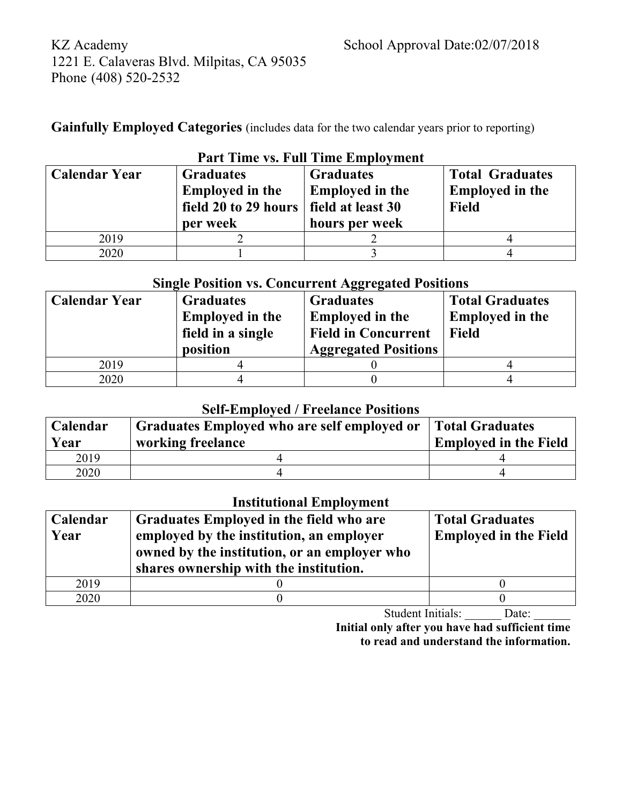**Gainfully Employed Categories** (includes data for the two calendar years prior to reporting)

| T are filme vs. Fun Thile Employment                                                                   |  |                                                                                   |                                                                  |  |  |  |  |
|--------------------------------------------------------------------------------------------------------|--|-----------------------------------------------------------------------------------|------------------------------------------------------------------|--|--|--|--|
| <b>Calendar Year</b><br><b>Graduates</b><br><b>Employed in the</b><br>field 20 to 29 hours<br>per week |  | <b>Graduates</b><br><b>Employed in the</b><br>field at least 30<br>hours per week | <b>Total Graduates</b><br><b>Employed in the</b><br><b>Field</b> |  |  |  |  |
| 2019                                                                                                   |  |                                                                                   |                                                                  |  |  |  |  |
| 2020                                                                                                   |  |                                                                                   |                                                                  |  |  |  |  |

## **Part Time vs. Full Time Employment**

## **Single Position vs. Concurrent Aggregated Positions**

| <b>Calendar Year</b> | <b>Graduates</b><br><b>Employed in the</b><br>field in a single<br>position | <b>Graduates</b><br><b>Employed in the</b><br><b>Field in Concurrent</b><br><b>Aggregated Positions</b> | <b>Total Graduates</b><br><b>Employed in the</b><br><b>Field</b> |
|----------------------|-----------------------------------------------------------------------------|---------------------------------------------------------------------------------------------------------|------------------------------------------------------------------|
| 2019                 |                                                                             |                                                                                                         |                                                                  |
| 2020                 |                                                                             |                                                                                                         |                                                                  |

### **Self-Employed / Freelance Positions**

| Calendar<br>Year | Graduates Employed who are self employed or<br>working freelance | <b>Total Graduates</b><br><b>Employed in the Field</b> |
|------------------|------------------------------------------------------------------|--------------------------------------------------------|
| 2019             |                                                                  |                                                        |
| 2020             |                                                                  |                                                        |

## **Institutional Employment**

| Calendar<br>Year | Graduates Employed in the field who are<br>employed by the institution, an employer<br>owned by the institution, or an employer who<br>shares ownership with the institution. | <b>Total Graduates</b><br><b>Employed in the Field</b> |
|------------------|-------------------------------------------------------------------------------------------------------------------------------------------------------------------------------|--------------------------------------------------------|
| 2019             |                                                                                                                                                                               |                                                        |
| 2020             |                                                                                                                                                                               |                                                        |

Student Initials: \_\_\_\_\_\_ Date:

**Initial only after you have had sufficient time to read and understand the information.**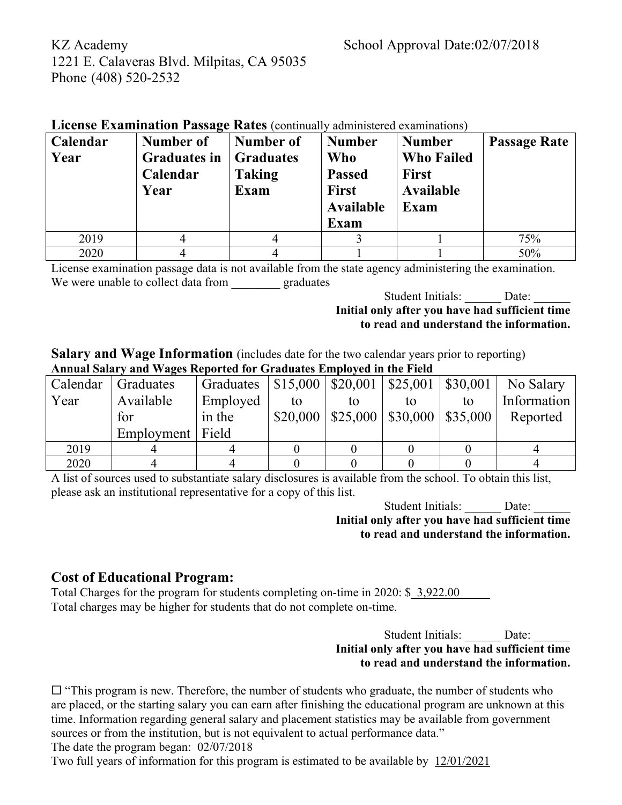| <b>LICENSE EXAMINATION PASSAGE RATES</b> (continually administered examinations) |                     |                  |                  |                   |                     |  |  |
|----------------------------------------------------------------------------------|---------------------|------------------|------------------|-------------------|---------------------|--|--|
| Calendar                                                                         | Number of           | Number of        | <b>Number</b>    | <b>Number</b>     | <b>Passage Rate</b> |  |  |
| Year                                                                             | <b>Graduates in</b> | <b>Graduates</b> | <b>Who</b>       | <b>Who Failed</b> |                     |  |  |
|                                                                                  | Calendar            | <b>Taking</b>    | <b>Passed</b>    | <b>First</b>      |                     |  |  |
|                                                                                  | Year                | Exam             | First            | <b>Available</b>  |                     |  |  |
|                                                                                  |                     |                  | <b>Available</b> | Exam              |                     |  |  |
|                                                                                  |                     |                  | Exam             |                   |                     |  |  |
| 2019                                                                             |                     |                  |                  |                   | 75%                 |  |  |
| 2020                                                                             |                     |                  |                  |                   | 50%                 |  |  |

 $\mathbf{D}_{\text{area}}$  (continually administered exaministered exaministered exaministered exaministered exaministered exaministered exaministered exaministered exaministered exaministered exaministered exaministered examinations)

License examination passage data is not available from the state agency administering the examination. We were unable to collect data from graduates

Student Initials: Date:

#### **Initial only after you have had sufficient time to read and understand the information.**

**Salary and Wage Information** (includes date for the two calendar years prior to reporting) **Annual Salary and Wages Reported for Graduates Employed in the Field**

| Calendar | Graduates          | Graduates   \$15,000   \$20,001   \$25,001   \$30,001 |    |    |                                            |    | No Salary   |
|----------|--------------------|-------------------------------------------------------|----|----|--------------------------------------------|----|-------------|
| Year     | Available          | Employed                                              | to | tο | to                                         | to | Information |
|          | for                | in the                                                |    |    | $$20,000$   \$25,000   \$30,000   \$35,000 |    | Reported    |
|          | Employment   Field |                                                       |    |    |                                            |    |             |
| 2019     |                    |                                                       |    |    |                                            |    |             |
| 2020     |                    |                                                       |    |    |                                            |    |             |

A list of sources used to substantiate salary disclosures is available from the school. To obtain this list, please ask an institutional representative for a copy of this list.

> Student Initials: Date: **Initial only after you have had sufficient time to read and understand the information.**

### **Cost of Educational Program:**

Total Charges for the program for students completing on-time in 2020:  $\frac{$3,922.00}{}$ Total charges may be higher for students that do not complete on-time.

> Student Initials: Date: **Initial only after you have had sufficient time to read and understand the information.**

 $\Box$  "This program is new. Therefore, the number of students who graduate, the number of students who are placed, or the starting salary you can earn after finishing the educational program are unknown at this time. Information regarding general salary and placement statistics may be available from government sources or from the institution, but is not equivalent to actual performance data."

The date the program began: 02/07/2018

Two full years of information for this program is estimated to be available by 12/01/2021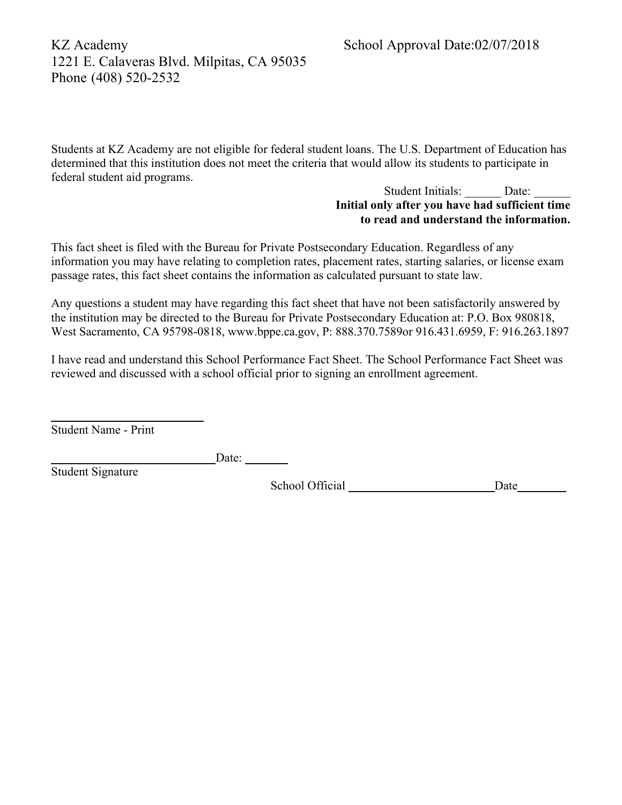Students at KZ Academy are not eligible for federal student loans. The U.S. Department of Education has determined that this institution does not meet the criteria that would allow its students to participate in federal student aid programs.

#### Student Initials: Date: **Initial only after you have had sufficient time to read and understand the information.**

This fact sheet is filed with the Bureau for Private Postsecondary Education. Regardless of any information you may have relating to completion rates, placement rates, starting salaries, or license exam passage rates, this fact sheet contains the information as calculated pursuant to state law.

Any questions a student may have regarding this fact sheet that have not been satisfactorily answered by the institution may be directed to the Bureau for Private Postsecondary Education at: P.O. Box 980818, West Sacramento, CA 95798-0818, www.bppe.ca.gov, P: 888.370.7589or 916.431.6959, F: 916.263.1897

I have read and understand this School Performance Fact Sheet. The School Performance Fact Sheet was reviewed and discussed with a school official prior to signing an enrollment agreement.

Student Name - Print

\_\_\_\_\_\_\_\_\_\_\_\_\_\_\_\_\_\_\_\_\_\_\_\_\_

 $\Box$ Date:  $\Box$ 

Student Signature

School Official \_\_\_\_\_\_\_\_\_\_\_\_\_\_\_\_\_\_\_\_\_\_\_\_Date\_\_\_\_\_\_\_\_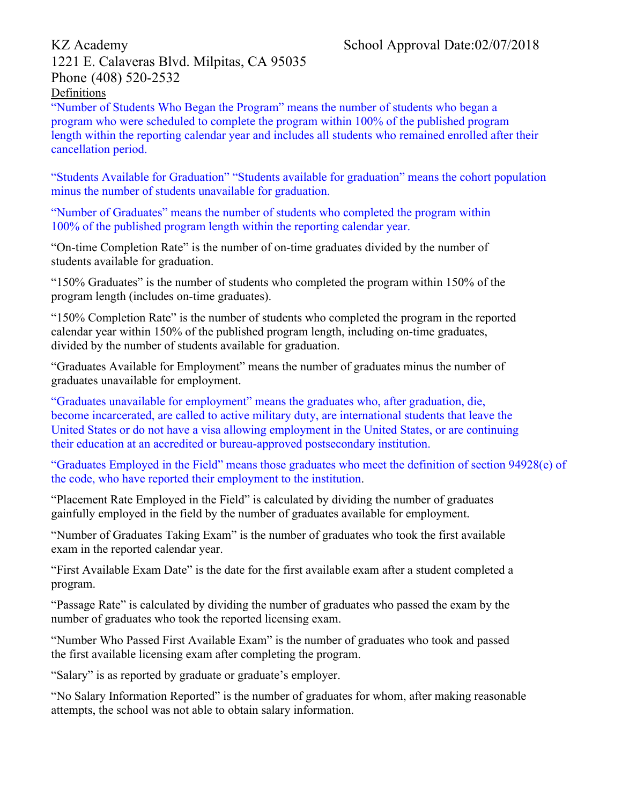"Number of Students Who Began the Program" means the number of students who began a program who were scheduled to complete the program within 100% of the published program length within the reporting calendar year and includes all students who remained enrolled after their cancellation period.

"Students Available for Graduation" "Students available for graduation" means the cohort population minus the number of students unavailable for graduation.

"Number of Graduates" means the number of students who completed the program within 100% of the published program length within the reporting calendar year.

"On-time Completion Rate" is the number of on-time graduates divided by the number of students available for graduation.

"150% Graduates" is the number of students who completed the program within 150% of the program length (includes on-time graduates).

"150% Completion Rate" is the number of students who completed the program in the reported calendar year within 150% of the published program length, including on-time graduates, divided by the number of students available for graduation.

"Graduates Available for Employment" means the number of graduates minus the number of graduates unavailable for employment.

"Graduates unavailable for employment" means the graduates who, after graduation, die, become incarcerated, are called to active military duty, are international students that leave the United States or do not have a visa allowing employment in the United States, or are continuing their education at an accredited or bureau-approved postsecondary institution.

"Graduates Employed in the Field" means those graduates who meet the definition of section 94928(e) of the code, who have reported their employment to the institution.

"Placement Rate Employed in the Field" is calculated by dividing the number of graduates gainfully employed in the field by the number of graduates available for employment.

"Number of Graduates Taking Exam" is the number of graduates who took the first available exam in the reported calendar year.

"First Available Exam Date" is the date for the first available exam after a student completed a program.

"Passage Rate" is calculated by dividing the number of graduates who passed the exam by the number of graduates who took the reported licensing exam.

"Number Who Passed First Available Exam" is the number of graduates who took and passed the first available licensing exam after completing the program.

"Salary" is as reported by graduate or graduate's employer.

"No Salary Information Reported" is the number of graduates for whom, after making reasonable attempts, the school was not able to obtain salary information.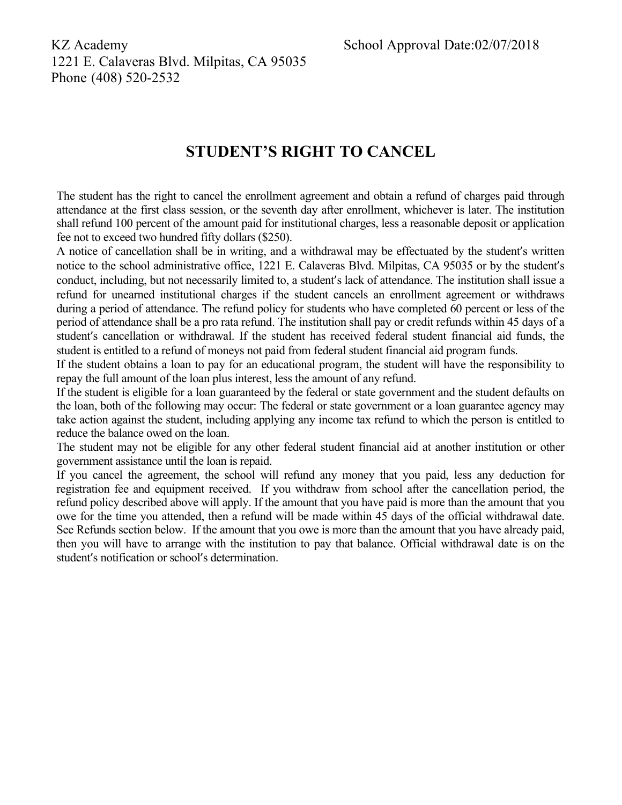# **STUDENT'S RIGHT TO CANCEL**

The student has the right to cancel the enrollment agreement and obtain a refund of charges paid through attendance at the first class session, or the seventh day after enrollment, whichever is later. The institution shall refund 100 percent of the amount paid for institutional charges, less a reasonable deposit or application fee not to exceed two hundred fifty dollars (\$250).

A notice of cancellation shall be in writing, and a withdrawal may be effectuated by the student's written notice to the school administrative office, 1221 E. Calaveras Blvd. Milpitas, CA 95035 or by the student's conduct, including, but not necessarily limited to, a student's lack of attendance. The institution shall issue a refund for unearned institutional charges if the student cancels an enrollment agreement or withdraws during a period of attendance. The refund policy for students who have completed 60 percent or less of the period of attendance shall be a pro rata refund. The institution shall pay or credit refunds within 45 days of a student's cancellation or withdrawal. If the student has received federal student financial aid funds, the student is entitled to a refund of moneys not paid from federal student financial aid program funds.

If the student obtains a loan to pay for an educational program, the student will have the responsibility to repay the full amount of the loan plus interest, less the amount of any refund.

If the student is eligible for a loan guaranteed by the federal or state government and the student defaults on the loan, both of the following may occur: The federal or state government or a loan guarantee agency may take action against the student, including applying any income tax refund to which the person is entitled to reduce the balance owed on the loan.

The student may not be eligible for any other federal student financial aid at another institution or other government assistance until the loan is repaid.

If you cancel the agreement, the school will refund any money that you paid, less any deduction for registration fee and equipment received. If you withdraw from school after the cancellation period, the refund policy described above will apply. If the amount that you have paid is more than the amount that you owe for the time you attended, then a refund will be made within 45 days of the official withdrawal date. See Refunds section below. If the amount that you owe is more than the amount that you have already paid, then you will have to arrange with the institution to pay that balance. Official withdrawal date is on the student's notification or school's determination.